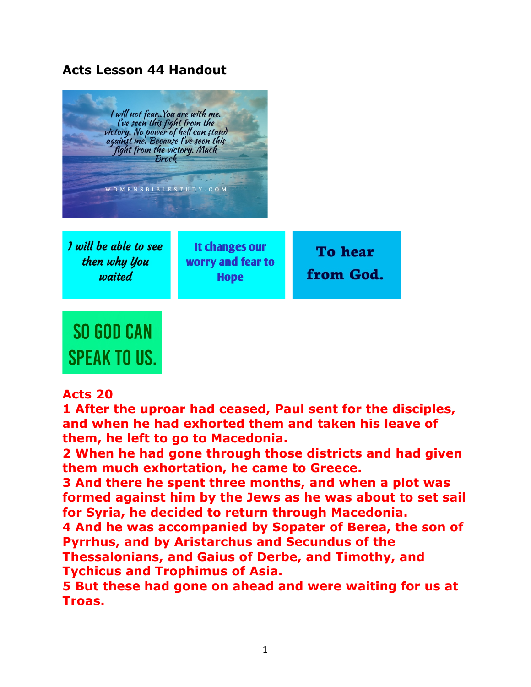## **Acts Lesson 44 Handout**



**Acts 20** 

**SPEAK TO US.** 

**1 After the uproar had ceased, Paul sent for the disciples, and when he had exhorted them and taken his leave of them, he left to go to Macedonia.** 

**2 When he had gone through those districts and had given them much exhortation, he came to Greece.** 

**3 And there he spent three months, and when a plot was formed against him by the Jews as he was about to set sail for Syria, he decided to return through Macedonia.** 

**4 And he was accompanied by Sopater of Berea, the son of Pyrrhus, and by Aristarchus and Secundus of the** 

**Thessalonians, and Gaius of Derbe, and Timothy, and Tychicus and Trophimus of Asia.** 

**5 But these had gone on ahead and were waiting for us at Troas.**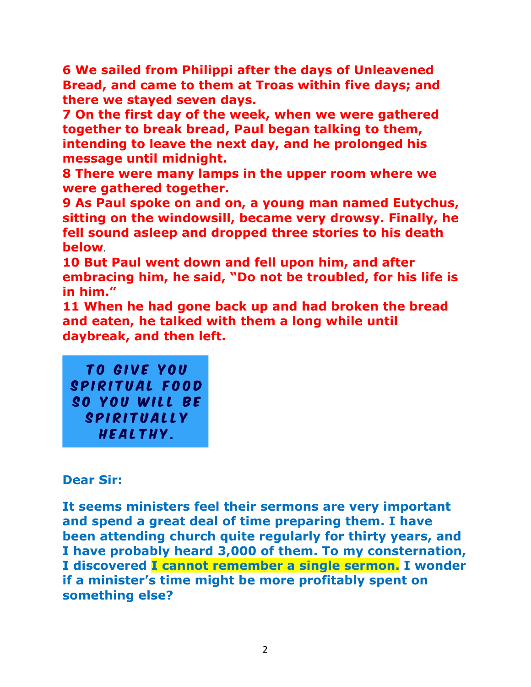**6 We sailed from Philippi after the days of Unleavened Bread, and came to them at Troas within five days; and there we stayed seven days.** 

**7 On the first day of the week, when we were gathered together to break bread, Paul began talking to them, intending to leave the next day, and he prolonged his message until midnight.**

**8 There were many lamps in the upper room where we were gathered together.** 

**9 As Paul spoke on and on, a young man named Eutychus, sitting on the windowsill, became very drowsy. Finally, he fell sound asleep and dropped three stories to his death below**. 

**10 But Paul went down and fell upon him, and after embracing him, he said, "Do not be troubled, for his life is in him."** 

**11 When he had gone back up and had broken the bread and eaten, he talked with them a long while until daybreak, and then left.** 

TO GIVE YOU SPIRITUAL FOOD SO YOU WILL BE SPIRITUALLY HEALTHY.

## **Dear Sir:**

**It seems ministers feel their sermons are very important and spend a great deal of time preparing them. I have been attending church quite regularly for thirty years, and I have probably heard 3,000 of them. To my consternation, I discovered I cannot remember a single sermon. I wonder if a minister's time might be more profitably spent on something else?**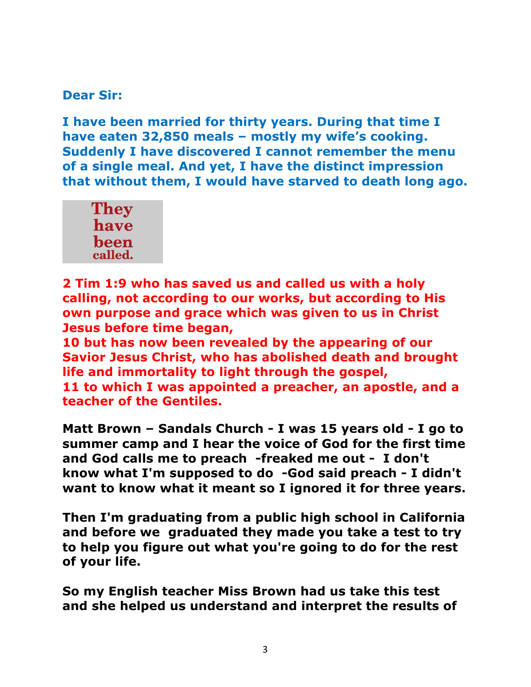## **Dear Sir:**

**I have been married for thirty years. During that time I have eaten 32,850 meals – mostly my wife's cooking. Suddenly I have discovered I cannot remember the menu of a single meal. And yet, I have the distinct impression that without them, I would have starved to death long ago.**



**2 Tim 1:9 who has saved us and called us with a holy calling, not according to our works, but according to His own purpose and grace which was given to us in Christ Jesus before time began,** 

**10 but has now been revealed by the appearing of our Savior Jesus Christ, who has abolished death and brought life and immortality to light through the gospel, 11 to which I was appointed a preacher, an apostle, and a teacher of the Gentiles.** 

**Matt Brown – Sandals Church - I was 15 years old - I go to summer camp and I hear the voice of God for the first time and God calls me to preach -freaked me out - I don't know what I'm supposed to do -God said preach - I didn't want to know what it meant so I ignored it for three years.**

**Then I'm graduating from a public high school in California and before we graduated they made you take a test to try to help you figure out what you're going to do for the rest of your life.**

**So my English teacher Miss Brown had us take this test and she helped us understand and interpret the results of**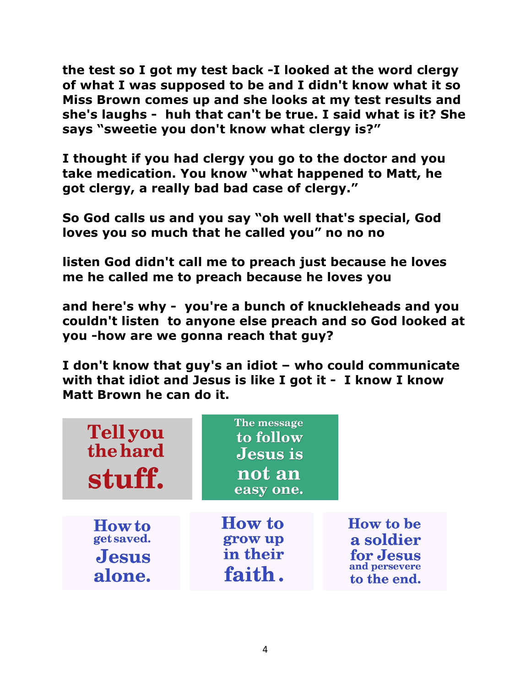**the test so I got my test back -I looked at the word clergy of what I was supposed to be and I didn't know what it so Miss Brown comes up and she looks at my test results and she's laughs - huh that can't be true. I said what is it? She says "sweetie you don't know what clergy is?"**

**I thought if you had clergy you go to the doctor and you take medication. You know "what happened to Matt, he got clergy, a really bad bad case of clergy."**

**So God calls us and you say "oh well that's special, God loves you so much that he called you" no no no**

**listen God didn't call me to preach just because he loves me he called me to preach because he loves you** 

**and here's why - you're a bunch of knuckleheads and you couldn't listen to anyone else preach and so God looked at you -how are we gonna reach that guy?**

**I don't know that guy's an idiot – who could communicate with that idiot and Jesus is like I got it - I know I know Matt Brown he can do it.**

| <b>Tellyou</b><br>the hard<br>stuff.                  | The message<br>to follow<br><b>Jesus</b> is<br>not an<br>easy one. |                                                                            |
|-------------------------------------------------------|--------------------------------------------------------------------|----------------------------------------------------------------------------|
| <b>How to</b><br>get saved.<br><b>Jesus</b><br>alone. | <b>How to</b><br>grow up<br>in their<br>faith.                     | <b>How to be</b><br>a soldier<br>for Jesus<br>and persevere<br>to the end. |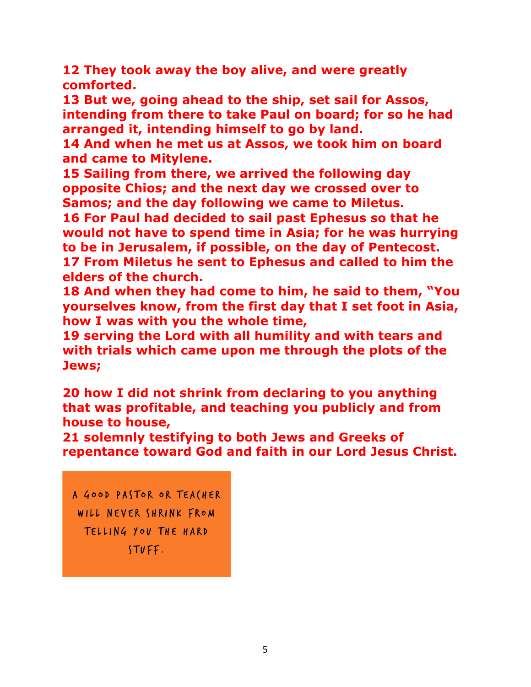**12 They took away the boy alive, and were greatly comforted.** 

**13 But we, going ahead to the ship, set sail for Assos, intending from there to take Paul on board; for so he had arranged it, intending himself to go by land.** 

**14 And when he met us at Assos, we took him on board and came to Mitylene.** 

**15 Sailing from there, we arrived the following day opposite Chios; and the next day we crossed over to Samos; and the day following we came to Miletus.** 

**16 For Paul had decided to sail past Ephesus so that he would not have to spend time in Asia; for he was hurrying to be in Jerusalem, if possible, on the day of Pentecost. 17 From Miletus he sent to Ephesus and called to him the elders of the church.** 

**18 And when they had come to him, he said to them, "You yourselves know, from the first day that I set foot in Asia, how I was with you the whole time,** 

**19 serving the Lord with all humility and with tears and with trials which came upon me through the plots of the Jews;** 

**20 how I did not shrink from declaring to you anything that was profitable, and teaching you publicly and from house to house,** 

**21 solemnly testifying to both Jews and Greeks of repentance toward God and faith in our Lord Jesus Christ.** 

A GOOD PASTOR OR TEACHER WILL NEVER SHRINK FROM TELLING YOU THE HARD STUFF.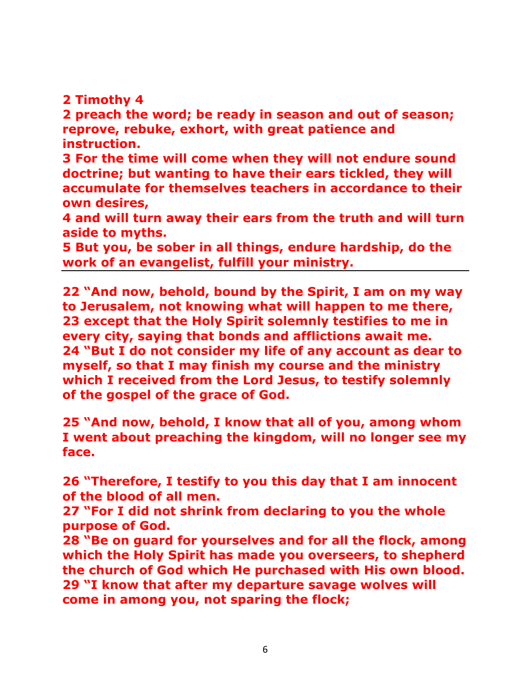## **2 Timothy 4**

**2 preach the word; be ready in season and out of season; reprove, rebuke, exhort, with great patience and instruction.** 

**3 For the time will come when they will not endure sound doctrine; but wanting to have their ears tickled, they will accumulate for themselves teachers in accordance to their own desires,** 

**4 and will turn away their ears from the truth and will turn aside to myths.** 

**5 But you, be sober in all things, endure hardship, do the work of an evangelist, fulfill your ministry.** 

**22 "And now, behold, bound by the Spirit, I am on my way to Jerusalem, not knowing what will happen to me there, 23 except that the Holy Spirit solemnly testifies to me in every city, saying that bonds and afflictions await me. 24 "But I do not consider my life of any account as dear to myself, so that I may finish my course and the ministry which I received from the Lord Jesus, to testify solemnly of the gospel of the grace of God.** 

**25 "And now, behold, I know that all of you, among whom I went about preaching the kingdom, will no longer see my face.** 

**26 "Therefore, I testify to you this day that I am innocent of the blood of all men.** 

**27 "For I did not shrink from declaring to you the whole purpose of God.**

**28 "Be on guard for yourselves and for all the flock, among which the Holy Spirit has made you overseers, to shepherd the church of God which He purchased with His own blood. 29 "I know that after my departure savage wolves will come in among you, not sparing the flock;**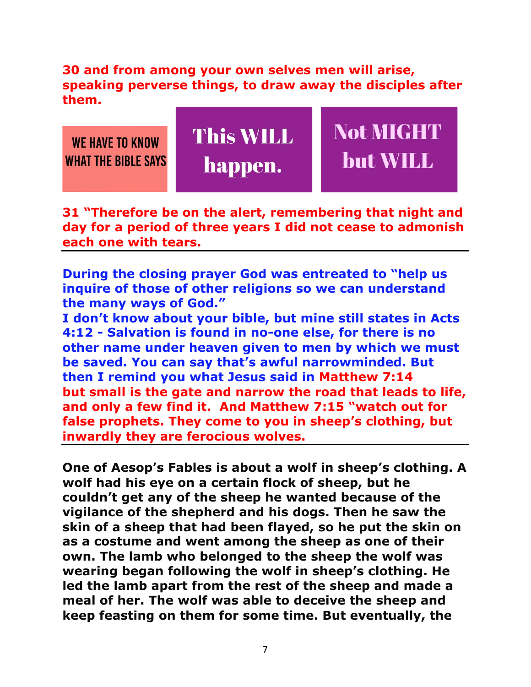**30 and from among your own selves men will arise, speaking perverse things, to draw away the disciples after them.** 



**31 "Therefore be on the alert, remembering that night and day for a period of three years I did not cease to admonish each one with tears.** 

**During the closing prayer God was entreated to "help us inquire of those of other religions so we can understand the many ways of God."** 

**I don't know about your bible, but mine still states in Acts 4:12 - Salvation is found in no-one else, for there is no other name under heaven given to men by which we must be saved. You can say that's awful narrowminded. But then I remind you what Jesus said in Matthew 7:14 but small is the gate and narrow the road that leads to life, and only a few find it. And Matthew 7:15 "watch out for false prophets. They come to you in sheep's clothing, but inwardly they are ferocious wolves.** 

**One of Aesop's Fables is about a wolf in sheep's clothing. A wolf had his eye on a certain flock of sheep, but he couldn't get any of the sheep he wanted because of the vigilance of the shepherd and his dogs. Then he saw the skin of a sheep that had been flayed, so he put the skin on as a costume and went among the sheep as one of their own. The lamb who belonged to the sheep the wolf was wearing began following the wolf in sheep's clothing. He led the lamb apart from the rest of the sheep and made a meal of her. The wolf was able to deceive the sheep and keep feasting on them for some time. But eventually, the**